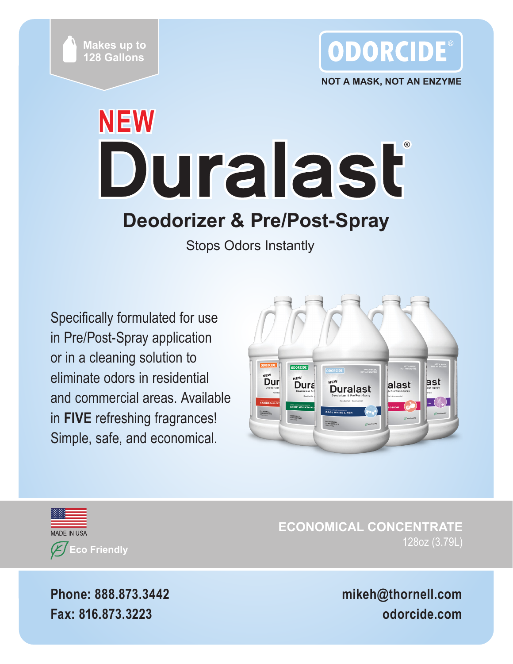



**NOT A MASK, NOT AN ENZYME**

# **NEW** Duralast **Deodorizer & Pre/Post-Spray**

Stops Odors Instantly

Specifically formulated for use in Pre/Post-Spray application or in a cleaning solution to eliminate odors in residential and commercial areas. Available in **FIVE** refreshing fragrances! Simple, safe, and economical.





**ECONOMICAL CONCENTRATE** 128oz (3.79L)

**Phone: 888.873.3442 Fax: 816.873.3223**

**mikeh@thornell.com odorcide.com**